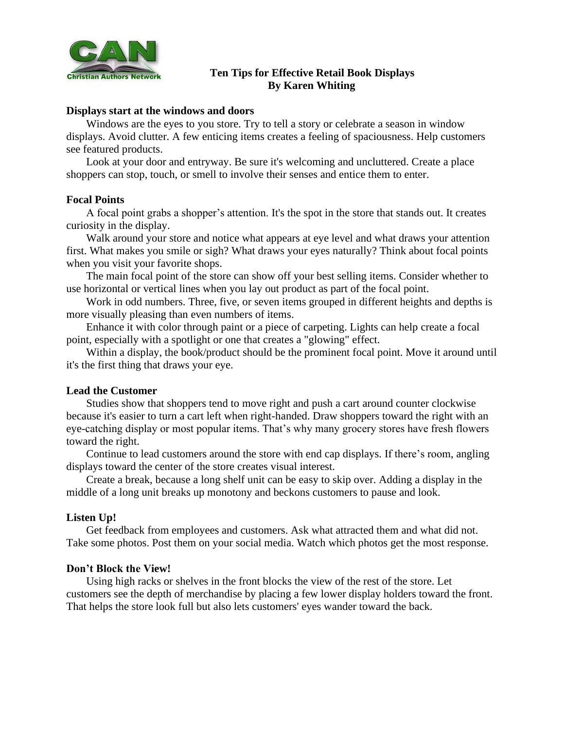

# **Ten Tips for Effective Retail Book Displays By Karen Whiting**

### **Displays start at the windows and doors**

Windows are the eyes to you store. Try to tell a story or celebrate a season in window displays. Avoid clutter. A few enticing items creates a feeling of spaciousness. Help customers see featured products.

Look at your door and entryway. Be sure it's welcoming and uncluttered. Create a place shoppers can stop, touch, or smell to involve their senses and entice them to enter.

#### **Focal Points**

A focal point grabs a shopper's attention. It's the spot in the store that stands out. It creates curiosity in the display.

Walk around your store and notice what appears at eye level and what draws your attention first. What makes you smile or sigh? What draws your eyes naturally? Think about focal points when you visit your favorite shops.

The main focal point of the store can show off your best selling items. Consider whether to use horizontal or vertical lines when you lay out product as part of the focal point.

Work in odd numbers. Three, five, or seven items grouped in different heights and depths is more visually pleasing than even numbers of items.

Enhance it with color through paint or a piece of carpeting. Lights can help create a focal point, especially with a spotlight or one that creates a "glowing" effect.

Within a display, the book/product should be the prominent focal point. Move it around until it's the first thing that draws your eye.

### **Lead the Customer**

Studies show that shoppers tend to move right and push a cart around counter clockwise because it's easier to turn a cart left when right-handed. Draw shoppers toward the right with an eye-catching display or most popular items. That's why many grocery stores have fresh flowers toward the right.

Continue to lead customers around the store with end cap displays. If there's room, angling displays toward the center of the store creates visual interest.

Create a break, because a long shelf unit can be easy to skip over. Adding a display in the middle of a long unit breaks up monotony and beckons customers to pause and look.

## **Listen Up!**

Get feedback from employees and customers. Ask what attracted them and what did not. Take some photos. Post them on your social media. Watch which photos get the most response.

#### **Don't Block the View!**

Using high racks or shelves in the front blocks the view of the rest of the store. Let customers see the depth of merchandise by placing a few lower display holders toward the front. That helps the store look full but also lets customers' eyes wander toward the back.